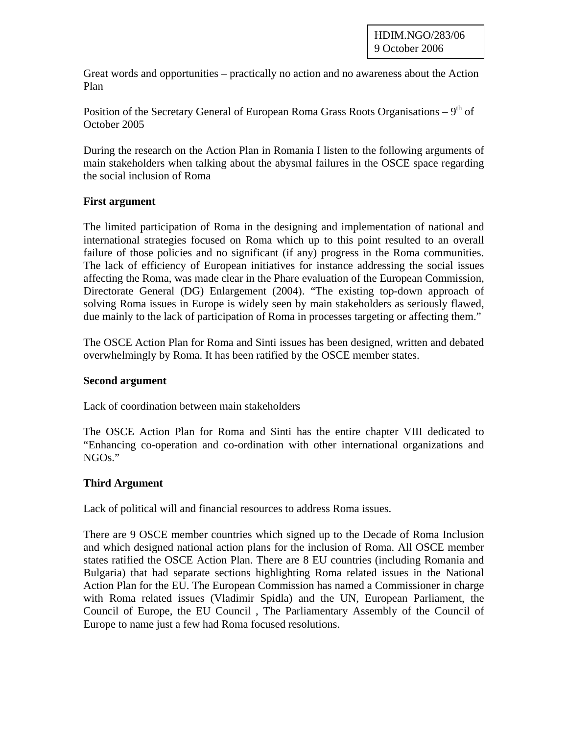Great words and opportunities – practically no action and no awareness about the Action Plan

Position of the Secretary General of European Roma Grass Roots Organisations –  $9<sup>th</sup>$  of October 2005

During the research on the Action Plan in Romania I listen to the following arguments of main stakeholders when talking about the abysmal failures in the OSCE space regarding the social inclusion of Roma

## **First argument**

The limited participation of Roma in the designing and implementation of national and international strategies focused on Roma which up to this point resulted to an overall failure of those policies and no significant (if any) progress in the Roma communities. The lack of efficiency of European initiatives for instance addressing the social issues affecting the Roma, was made clear in the Phare evaluation of the European Commission, Directorate General (DG) Enlargement (2004). "The existing top-down approach of solving Roma issues in Europe is widely seen by main stakeholders as seriously flawed, due mainly to the lack of participation of Roma in processes targeting or affecting them."

The OSCE Action Plan for Roma and Sinti issues has been designed, written and debated overwhelmingly by Roma. It has been ratified by the OSCE member states.

## **Second argument**

Lack of coordination between main stakeholders

The OSCE Action Plan for Roma and Sinti has the entire chapter VIII dedicated to "Enhancing co-operation and co-ordination with other international organizations and NGOs."

## **Third Argument**

Lack of political will and financial resources to address Roma issues.

There are 9 OSCE member countries which signed up to the Decade of Roma Inclusion and which designed national action plans for the inclusion of Roma. All OSCE member states ratified the OSCE Action Plan. There are 8 EU countries (including Romania and Bulgaria) that had separate sections highlighting Roma related issues in the National Action Plan for the EU. The European Commission has named a Commissioner in charge with Roma related issues (Vladimir Spidla) and the UN, European Parliament, the Council of Europe, the EU Council , The Parliamentary Assembly of the Council of Europe to name just a few had Roma focused resolutions.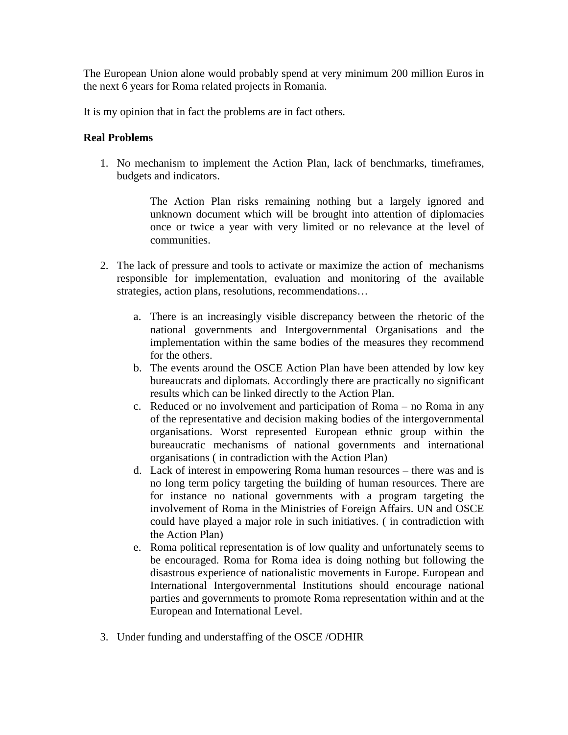The European Union alone would probably spend at very minimum 200 million Euros in the next 6 years for Roma related projects in Romania.

It is my opinion that in fact the problems are in fact others.

## **Real Problems**

1. No mechanism to implement the Action Plan, lack of benchmarks, timeframes, budgets and indicators.

> The Action Plan risks remaining nothing but a largely ignored and unknown document which will be brought into attention of diplomacies once or twice a year with very limited or no relevance at the level of communities.

- 2. The lack of pressure and tools to activate or maximize the action of mechanisms responsible for implementation, evaluation and monitoring of the available strategies, action plans, resolutions, recommendations…
	- a. There is an increasingly visible discrepancy between the rhetoric of the national governments and Intergovernmental Organisations and the implementation within the same bodies of the measures they recommend for the others.
	- b. The events around the OSCE Action Plan have been attended by low key bureaucrats and diplomats. Accordingly there are practically no significant results which can be linked directly to the Action Plan.
	- c. Reduced or no involvement and participation of Roma no Roma in any of the representative and decision making bodies of the intergovernmental organisations. Worst represented European ethnic group within the bureaucratic mechanisms of national governments and international organisations ( in contradiction with the Action Plan)
	- d. Lack of interest in empowering Roma human resources there was and is no long term policy targeting the building of human resources. There are for instance no national governments with a program targeting the involvement of Roma in the Ministries of Foreign Affairs. UN and OSCE could have played a major role in such initiatives. ( in contradiction with the Action Plan)
	- e. Roma political representation is of low quality and unfortunately seems to be encouraged. Roma for Roma idea is doing nothing but following the disastrous experience of nationalistic movements in Europe. European and International Intergovernmental Institutions should encourage national parties and governments to promote Roma representation within and at the European and International Level.
- 3. Under funding and understaffing of the OSCE /ODHIR